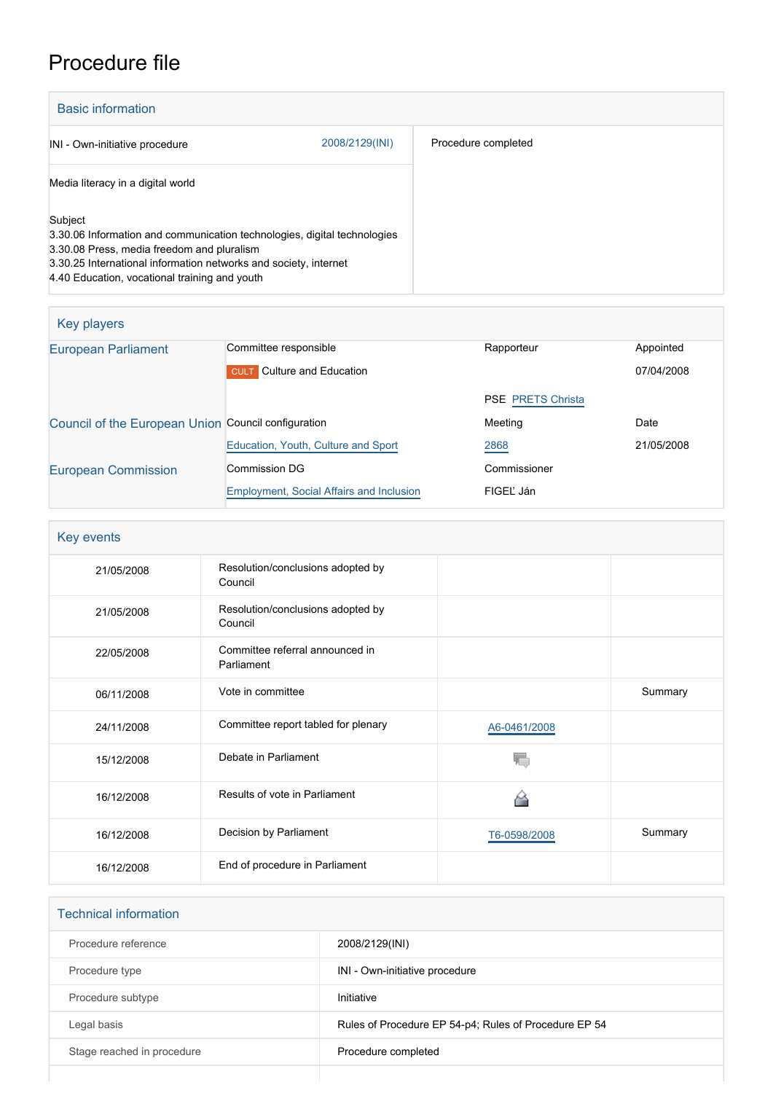## Procedure file

| <b>Basic information</b>                                                                                                                                                                                                                               |                |                     |  |
|--------------------------------------------------------------------------------------------------------------------------------------------------------------------------------------------------------------------------------------------------------|----------------|---------------------|--|
| INI - Own-initiative procedure                                                                                                                                                                                                                         | 2008/2129(INI) | Procedure completed |  |
| Media literacy in a digital world                                                                                                                                                                                                                      |                |                     |  |
| Subject<br>3.30.06 Information and communication technologies, digital technologies<br>3.30.08 Press, media freedom and pluralism<br>3.30.25 International information networks and society, internet<br>4.40 Education, vocational training and youth |                |                     |  |

| Key players                                         |                                                 |                          |            |  |  |
|-----------------------------------------------------|-------------------------------------------------|--------------------------|------------|--|--|
| <b>European Parliament</b>                          | Committee responsible                           | Rapporteur               | Appointed  |  |  |
|                                                     | <b>CULT</b> Culture and Education               |                          | 07/04/2008 |  |  |
|                                                     |                                                 | <b>PSE PRETS Christa</b> |            |  |  |
| Council of the European Union Council configuration |                                                 | Meeting                  | Date       |  |  |
|                                                     | Education, Youth, Culture and Sport             | 2868                     | 21/05/2008 |  |  |
| <b>European Commission</b>                          | Commission DG                                   | Commissioner             |            |  |  |
|                                                     | <b>Employment, Social Affairs and Inclusion</b> | FIGEL Ján                |            |  |  |

| Key events |                                               |              |         |
|------------|-----------------------------------------------|--------------|---------|
| 21/05/2008 | Resolution/conclusions adopted by<br>Council  |              |         |
| 21/05/2008 | Resolution/conclusions adopted by<br>Council  |              |         |
| 22/05/2008 | Committee referral announced in<br>Parliament |              |         |
| 06/11/2008 | Vote in committee                             |              | Summary |
| 24/11/2008 | Committee report tabled for plenary           | A6-0461/2008 |         |
| 15/12/2008 | Debate in Parliament                          |              |         |
| 16/12/2008 | Results of vote in Parliament                 |              |         |
| 16/12/2008 | Decision by Parliament                        | T6-0598/2008 | Summary |
| 16/12/2008 | End of procedure in Parliament                |              |         |

| <b>Technical information</b> |                                                       |
|------------------------------|-------------------------------------------------------|
| Procedure reference          | 2008/2129(INI)                                        |
| Procedure type               | INI - Own-initiative procedure                        |
| Procedure subtype            | Initiative                                            |
| Legal basis                  | Rules of Procedure EP 54-p4; Rules of Procedure EP 54 |
| Stage reached in procedure   | Procedure completed                                   |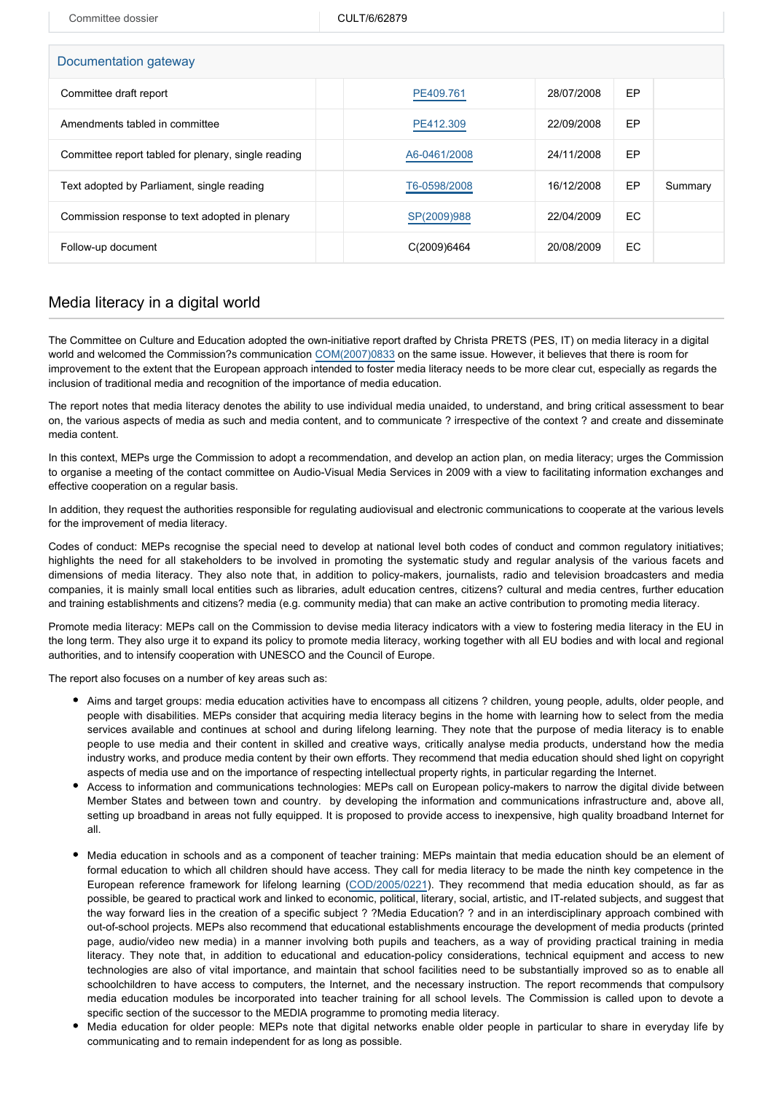Committee dossier COLT/6/62879

| Documentation gateway                               |              |            |           |         |  |  |
|-----------------------------------------------------|--------------|------------|-----------|---------|--|--|
| Committee draft report                              | PE409.761    | 28/07/2008 | EP        |         |  |  |
| Amendments tabled in committee                      | PE412.309    | 22/09/2008 | EP        |         |  |  |
| Committee report tabled for plenary, single reading | A6-0461/2008 | 24/11/2008 | EP        |         |  |  |
| Text adopted by Parliament, single reading          | T6-0598/2008 | 16/12/2008 | <b>EP</b> | Summary |  |  |
| Commission response to text adopted in plenary      | SP(2009)988  | 22/04/2009 | EC        |         |  |  |
| Follow-up document                                  | C(2009)6464  | 20/08/2009 | EC        |         |  |  |

## Media literacy in a digital world

The Committee on Culture and Education adopted the own-initiative report drafted by Christa PRETS (PES, IT) on media literacy in a digital world and welcomed the Commission?s communication [COM\(2007\)0833](http://eur-lex.europa.eu/LexUriServ/LexUriServ.do?uri=COM:2007:0833:FIN:EN:PDF) on the same issue. However, it believes that there is room for improvement to the extent that the European approach intended to foster media literacy needs to be more clear cut, especially as regards the inclusion of traditional media and recognition of the importance of media education.

The report notes that media literacy denotes the ability to use individual media unaided, to understand, and bring critical assessment to bear on, the various aspects of media as such and media content, and to communicate ? irrespective of the context ? and create and disseminate media content.

In this context, MEPs urge the Commission to adopt a recommendation, and develop an action plan, on media literacy; urges the Commission to organise a meeting of the contact committee on Audio-Visual Media Services in 2009 with a view to facilitating information exchanges and effective cooperation on a regular basis.

In addition, they request the authorities responsible for regulating audiovisual and electronic communications to cooperate at the various levels for the improvement of media literacy.

Codes of conduct: MEPs recognise the special need to develop at national level both codes of conduct and common regulatory initiatives; highlights the need for all stakeholders to be involved in promoting the systematic study and regular analysis of the various facets and dimensions of media literacy. They also note that, in addition to policy-makers, journalists, radio and television broadcasters and media companies, it is mainly small local entities such as libraries, adult education centres, citizens? cultural and media centres, further education and training establishments and citizens? media (e.g. community media) that can make an active contribution to promoting media literacy.

Promote media literacy: MEPs call on the Commission to devise media literacy indicators with a view to fostering media literacy in the EU in the long term. They also urge it to expand its policy to promote media literacy, working together with all EU bodies and with local and regional authorities, and to intensify cooperation with UNESCO and the Council of Europe.

The report also focuses on a number of key areas such as:

- Aims and target groups: media education activities have to encompass all citizens ? children, young people, adults, older people, and people with disabilities. MEPs consider that acquiring media literacy begins in the home with learning how to select from the media services available and continues at school and during lifelong learning. They note that the purpose of media literacy is to enable people to use media and their content in skilled and creative ways, critically analyse media products, understand how the media industry works, and produce media content by their own efforts. They recommend that media education should shed light on copyright aspects of media use and on the importance of respecting intellectual property rights, in particular regarding the Internet.
- Access to information and communications technologies: MEPs call on European policy-makers to narrow the digital divide between Member States and between town and country. by developing the information and communications infrastructure and, above all, setting up broadband in areas not fully equipped. It is proposed to provide access to inexpensive, high quality broadband Internet for all.
- Media education in schools and as a component of teacher training: MEPs maintain that media education should be an element of formal education to which all children should have access. They call for media literacy to be made the ninth key competence in the European reference framework for lifelong learning ([COD/2005/0221](http://www.europarl.europa.eu/oeil/FindByProcnum.do?lang=en&procnum=COD/2005/0221)). They recommend that media education should, as far as possible, be geared to practical work and linked to economic, political, literary, social, artistic, and IT-related subjects, and suggest that the way forward lies in the creation of a specific subject ? ?Media Education? ? and in an interdisciplinary approach combined with out-of-school projects. MEPs also recommend that educational establishments encourage the development of media products (printed page, audio/video new media) in a manner involving both pupils and teachers, as a way of providing practical training in media literacy. They note that, in addition to educational and education-policy considerations, technical equipment and access to new technologies are also of vital importance, and maintain that school facilities need to be substantially improved so as to enable all schoolchildren to have access to computers, the Internet, and the necessary instruction. The report recommends that compulsory media education modules be incorporated into teacher training for all school levels. The Commission is called upon to devote a specific section of the successor to the MEDIA programme to promoting media literacy.
- Media education for older people: MEPs note that digital networks enable older people in particular to share in everyday life by communicating and to remain independent for as long as possible.